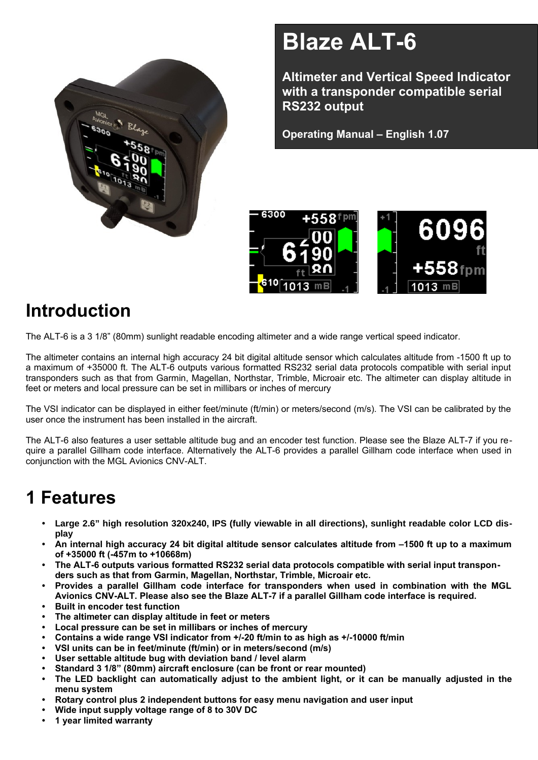

# **Blaze ALT-6**

**Altimeter and Vertical Speed Indicator with a transponder compatible serial RS232 output**

**Operating Manual – English 1.07**



# **Introduction**

The ALT-6 is a 3 1/8" (80mm) sunlight readable encoding altimeter and a wide range vertical speed indicator.

The altimeter contains an internal high accuracy 24 bit digital altitude sensor which calculates altitude from -1500 ft up to a maximum of +35000 ft. The ALT-6 outputs various formatted RS232 serial data protocols compatible with serial input transponders such as that from Garmin, Magellan, Northstar, Trimble, Microair etc. The altimeter can display altitude in feet or meters and local pressure can be set in millibars or inches of mercury

The VSI indicator can be displayed in either feet/minute (ft/min) or meters/second (m/s). The VSI can be calibrated by the user once the instrument has been installed in the aircraft.

The ALT-6 also features a user settable altitude bug and an encoder test function. Please see the Blaze ALT-7 if you require a parallel Gillham code interface. Alternatively the ALT-6 provides a parallel Gillham code interface when used in conjunction with the MGL Avionics CNV-ALT.

# **1 Features**

- **• Large 2.6" high resolution 320x240, IPS (fully viewable in all directions), sunlight readable color LCD display**
- **• An internal high accuracy 24 bit digital altitude sensor calculates altitude from –1500 ft up to a maximum of +35000 ft (-457m to +10668m)**
- **• The ALT-6 outputs various formatted RS232 serial data protocols compatible with serial input transponders such as that from Garmin, Magellan, Northstar, Trimble, Microair etc.**
- **• Provides a parallel Gillham code interface for transponders when used in combination with the MGL Avionics CNV-ALT. Please also see the Blaze ALT-7 if a parallel Gillham code interface is required.**
- **• Built in encoder test function**
- **• The altimeter can display altitude in feet or meters**
- **• Local pressure can be set in millibars or inches of mercury**
- **• Contains a wide range VSI indicator from +/-20 ft/min to as high as +/-10000 ft/min**
- **• VSI units can be in feet/minute (ft/min) or in meters/second (m/s)**
- **• User settable altitude bug with deviation band / level alarm**
- **• Standard 3 1/8" (80mm) aircraft enclosure (can be front or rear mounted)**
- **• The LED backlight can automatically adjust to the ambient light, or it can be manually adjusted in the menu system**
- **• Rotary control plus 2 independent buttons for easy menu navigation and user input**
- **• Wide input supply voltage range of 8 to 30V DC**
- **• 1 year limited warranty**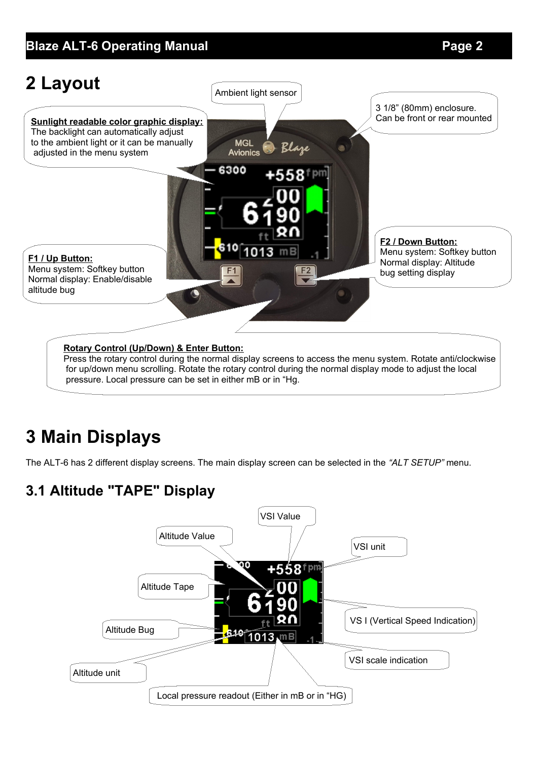

for up/down menu scrolling. Rotate the rotary control during the normal display mode to adjust the local pressure. Local pressure can be set in either mB or in "Hg.

# **3 Main Displays**

The ALT-6 has 2 different display screens. The main display screen can be selected in the *"ALT SETUP"* menu.

## **3.1 Altitude "TAPE" Display**

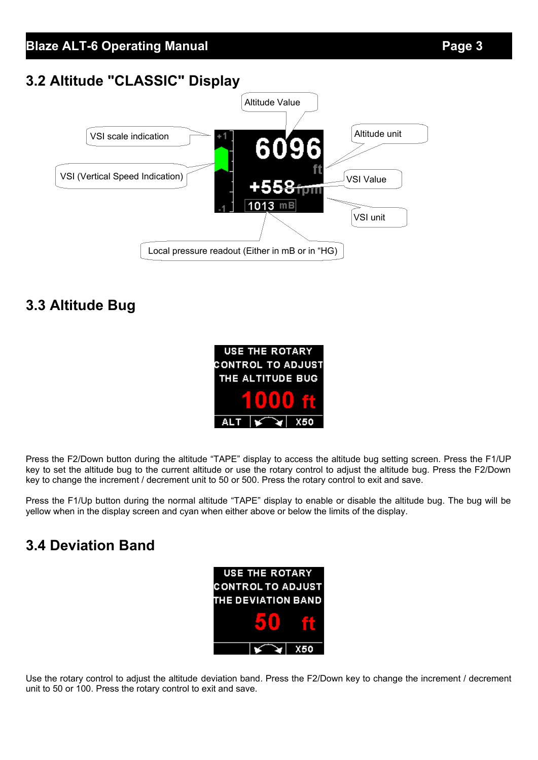### **3.2 Altitude "CLASSIC" Display**



### **3.3 Altitude Bug**

|      | <b>USE THE ROTARY</b> |                          |
|------|-----------------------|--------------------------|
|      |                       | <b>CONTROL TO ADJUST</b> |
|      | THE ALTITUDE BUG      |                          |
|      |                       |                          |
| ALT. |                       | -XF                      |

Press the F2/Down button during the altitude "TAPE" display to access the altitude bug setting screen. Press the F1/UP key to set the altitude bug to the current altitude or use the rotary control to adjust the altitude bug. Press the F2/Down key to change the increment / decrement unit to 50 or 500. Press the rotary control to exit and save.

Press the F1/Up button during the normal altitude "TAPE" display to enable or disable the altitude bug. The bug will be yellow when in the display screen and cyan when either above or below the limits of the display.

### **3.4 Deviation Band**



Use the rotary control to adjust the altitude deviation band. Press the F2/Down key to change the increment / decrement unit to 50 or 100. Press the rotary control to exit and save.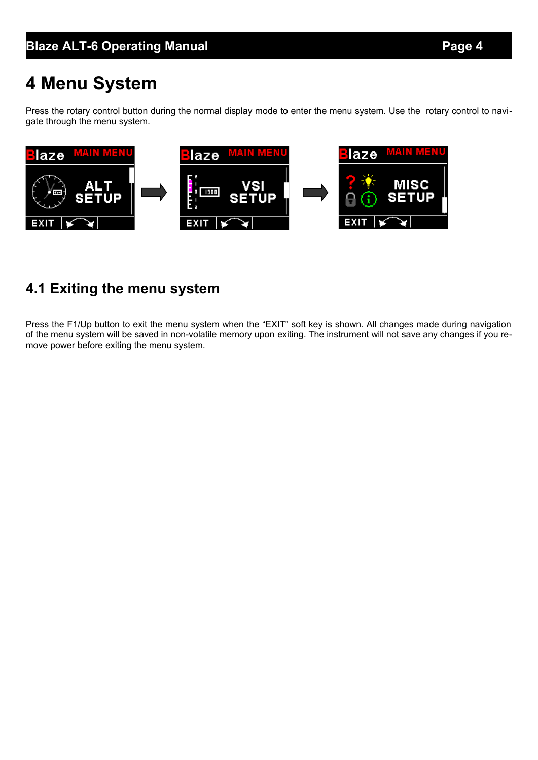# **4 Menu System**

Press the rotary control button during the normal display mode to enter the menu system. Use the rotary control to navigate through the menu system.



### **4.1 Exiting the menu system**

Press the F1/Up button to exit the menu system when the "EXIT" soft key is shown. All changes made during navigation of the menu system will be saved in non-volatile memory upon exiting. The instrument will not save any changes if you remove power before exiting the menu system.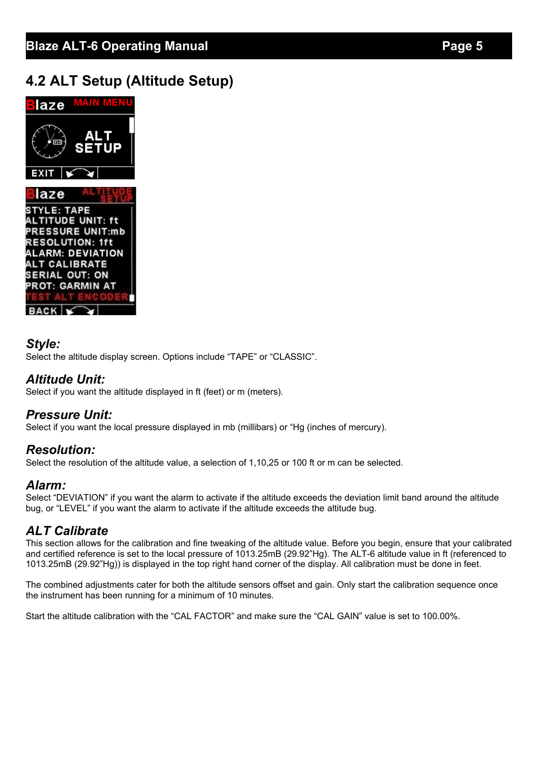### **4.2 ALT Setup (Altitude Setup)**



#### *Style:*

Select the altitude display screen. Options include "TAPE" or "CLASSIC".

#### *Altitude Unit:*

Select if you want the altitude displayed in ft (feet) or m (meters).

#### *Pressure Unit:*

Select if you want the local pressure displayed in mb (millibars) or "Hg (inches of mercury).

#### *Resolution:*

Select the resolution of the altitude value, a selection of 1,10,25 or 100 ft or m can be selected.

#### *Alarm:*

Select "DEVIATION" if you want the alarm to activate if the altitude exceeds the deviation limit band around the altitude bug, or "LEVEL" if you want the alarm to activate if the altitude exceeds the altitude bug.

### *ALT Calibrate*

This section allows for the calibration and fine tweaking of the altitude value. Before you begin, ensure that your calibrated and certified reference is set to the local pressure of 1013.25mB (29.92"Hg). The ALT-6 altitude value in ft (referenced to 1013.25mB (29.92"Hg)) is displayed in the top right hand corner of the display. All calibration must be done in feet.

The combined adjustments cater for both the altitude sensors offset and gain. Only start the calibration sequence once the instrument has been running for a minimum of 10 minutes.

Start the altitude calibration with the "CAL FACTOR" and make sure the "CAL GAIN" value is set to 100.00%.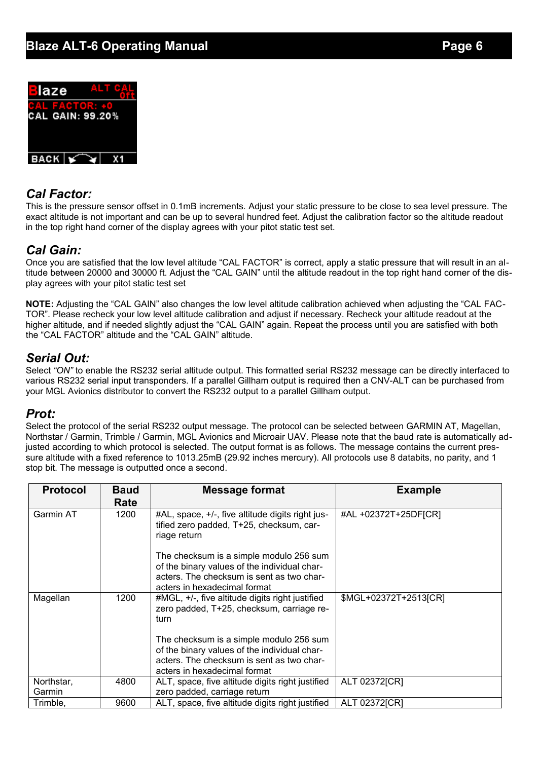

#### *Cal Factor:*

This is the pressure sensor offset in 0.1mB increments. Adjust your static pressure to be close to sea level pressure. The exact altitude is not important and can be up to several hundred feet. Adjust the calibration factor so the altitude readout in the top right hand corner of the display agrees with your pitot static test set.

#### *Cal Gain:*

Once you are satisfied that the low level altitude "CAL FACTOR" is correct, apply a static pressure that will result in an altitude between 20000 and 30000 ft. Adjust the "CAL GAIN" until the altitude readout in the top right hand corner of the display agrees with your pitot static test set

**NOTE:** Adjusting the "CAL GAIN" also changes the low level altitude calibration achieved when adjusting the "CAL FAC-TOR". Please recheck your low level altitude calibration and adjust if necessary. Recheck your altitude readout at the higher altitude, and if needed slightly adjust the "CAL GAIN" again. Repeat the process until you are satisfied with both the "CAL FACTOR" altitude and the "CAL GAIN" altitude.

#### *Serial Out:*

Select "ON" to enable the RS232 serial altitude output. This formatted serial RS232 message can be directly interfaced to various RS232 serial input transponders. If a parallel Gillham output is required then a CNV-ALT can be purchased from your MGL Avionics distributor to convert the RS232 output to a parallel Gillham output.

#### *Prot:*

Select the protocol of the serial RS232 output message. The protocol can be selected between GARMIN AT, Magellan, Northstar / Garmin, Trimble / Garmin, MGL Avionics and Microair UAV. Please note that the baud rate is automatically adjusted according to which protocol is selected. The output format is as follows. The message contains the current pressure altitude with a fixed reference to 1013.25mB (29.92 inches mercury). All protocols use 8 databits, no parity, and 1 stop bit. The message is outputted once a second.

| <b>Protocol</b>      | <b>Baud</b><br>Rate | <b>Message format</b>                                                                                                                                                | <b>Example</b>        |
|----------------------|---------------------|----------------------------------------------------------------------------------------------------------------------------------------------------------------------|-----------------------|
| <b>Garmin AT</b>     | 1200                | #AL, space, +/-, five altitude digits right jus-<br>tified zero padded, T+25, checksum, car-<br>riage return                                                         | #AL +02372T+25DF[CR]  |
|                      |                     | The checksum is a simple modulo 256 sum<br>of the binary values of the individual char-<br>acters. The checksum is sent as two char-<br>acters in hexadecimal format |                       |
| Magellan             | 1200                | #MGL, +/-, five altitude digits right justified<br>zero padded, T+25, checksum, carriage re-<br>turn                                                                 | \$MGL+02372T+2513[CR] |
|                      |                     | The checksum is a simple modulo 256 sum<br>of the binary values of the individual char-<br>acters. The checksum is sent as two char-<br>acters in hexadecimal format |                       |
| Northstar,<br>Garmin | 4800                | ALT, space, five altitude digits right justified<br>zero padded, carriage return                                                                                     | ALT 02372[CR]         |
| Trimble,             | 9600                | ALT, space, five altitude digits right justified                                                                                                                     | ALT 02372[CR]         |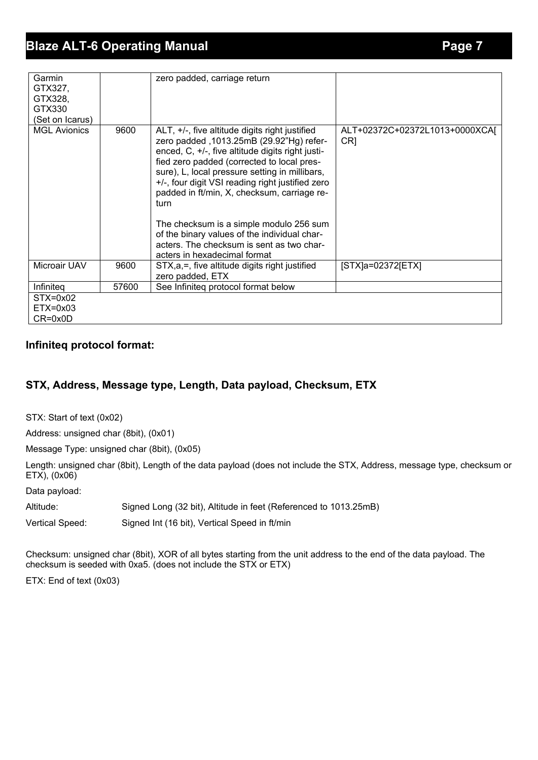| Garmin<br>GTX327,<br>GTX328,<br>GTX330<br>(Set on Icarus) |       | zero padded, carriage return                                                                                                                                                                                                                                                                                                                                                                                                                                                                                                       |                                       |
|-----------------------------------------------------------|-------|------------------------------------------------------------------------------------------------------------------------------------------------------------------------------------------------------------------------------------------------------------------------------------------------------------------------------------------------------------------------------------------------------------------------------------------------------------------------------------------------------------------------------------|---------------------------------------|
| <b>MGL Avionics</b>                                       | 9600  | ALT, +/-, five altitude digits right justified<br>zero padded , 1013.25mB (29.92"Hg) refer-<br>enced, C, +/-, five altitude digits right justi-<br>fied zero padded (corrected to local pres-<br>sure), L, local pressure setting in millibars,<br>+/-, four digit VSI reading right justified zero<br>padded in ft/min, X, checksum, carriage re-<br>turn<br>The checksum is a simple modulo 256 sum<br>of the binary values of the individual char-<br>acters. The checksum is sent as two char-<br>acters in hexadecimal format | ALT+02372C+02372L1013+0000XCAJ<br>CR1 |
| Microair UAV                                              | 9600  | STX, a, =, five altitude digits right justified<br>zero padded, ETX                                                                                                                                                                                                                                                                                                                                                                                                                                                                | $[STX]a=02372[ETX]$                   |
| Infiniteg                                                 | 57600 | See Infiniteg protocol format below                                                                                                                                                                                                                                                                                                                                                                                                                                                                                                |                                       |
| $STX=0x02$<br>$ETX = 0 \times 03$<br>$CR = 0x0D$          |       |                                                                                                                                                                                                                                                                                                                                                                                                                                                                                                                                    |                                       |

#### **Infiniteq protocol format:**

#### **STX, Address, Message type, Length, Data payload, Checksum, ETX**

STX: Start of text (0x02)

Address: unsigned char (8bit), (0x01)

Message Type: unsigned char (8bit), (0x05)

Length: unsigned char (8bit), Length of the data payload (does not include the STX, Address, message type, checksum or ETX), (0x06)

Data payload:

Altitude: Signed Long (32 bit), Altitude in feet (Referenced to 1013.25mB)

Vertical Speed: Signed Int (16 bit), Vertical Speed in ft/min

Checksum: unsigned char (8bit), XOR of all bytes starting from the unit address to the end of the data payload. The checksum is seeded with 0xa5. (does not include the STX or ETX)

ETX: End of text (0x03)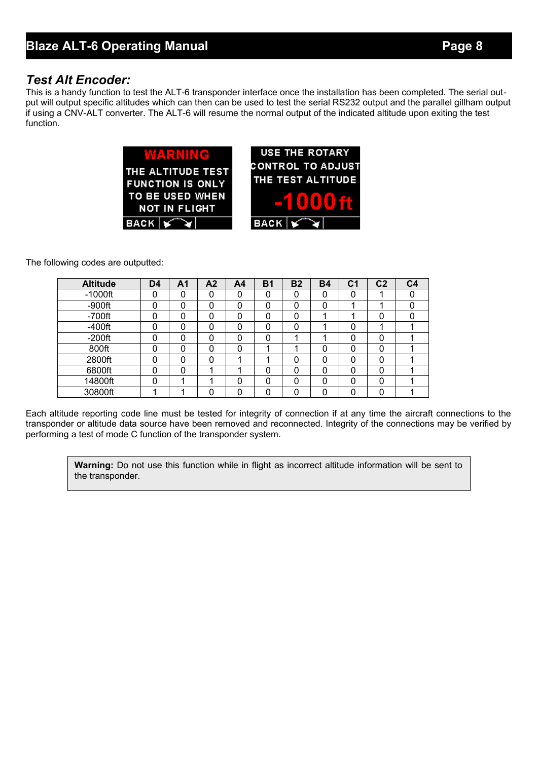#### *Test Alt Encoder:*

This is a handy function to test the ALT-6 transponder interface once the installation has been completed. The serial output will output specific altitudes which can then can be used to test the serial RS232 output and the parallel gillham output if using a CNV-ALT converter. The ALT-6 will resume the normal output of the indicated altitude upon exiting the test function.

| <b>WARNING</b><br>THE ALTITUDE TEST<br><b>FUNCTION IS ONLY</b><br>TO BE USED WHEN<br><b>NOT IN FLIGHT</b> | <b>USE THE ROTARY</b><br><b>CONTROL TO ADJUS</b><br>THE TEST ALTITUDE<br>-10006 |
|-----------------------------------------------------------------------------------------------------------|---------------------------------------------------------------------------------|
| BACK $ \mathbf{V}\mathbf{V} $                                                                             | BACK                                                                            |
|                                                                                                           |                                                                                 |

The following codes are outputted:

| <b>Altitude</b> | D <sub>4</sub> | Α1       | A <sub>2</sub> | A <sub>4</sub> | <b>B1</b> | <b>B2</b> | <b>B4</b> | C1 | C <sub>2</sub> | C4 |
|-----------------|----------------|----------|----------------|----------------|-----------|-----------|-----------|----|----------------|----|
| $-1000$ ft      | ი              | 0        | 0              | 0              | 0         | $\Omega$  | 0         | 0  |                |    |
| $-900$ ft       | N              | $\Omega$ | 0              | 0              | 0         | 0         | 0         |    |                |    |
| $-700$ ft       |                | 0        | 0              | 0              | 0         | $\Omega$  |           |    |                |    |
| $-400$ ft       | 0              | 0        | 0              | 0              | 0         | 0         |           | 0  |                |    |
| $-200$ ft       |                | $\Omega$ | 0              | 0              | 0         |           |           | 0  |                |    |
| 800ft           | n              | 0        | 0              | 0              |           |           | 0         | 0  | 0              |    |
| 2800ft          | 0              | 0        | 0              |                |           | 0         | $\Omega$  | 0  | 0              |    |
| 6800ft          | N              | $\Omega$ |                |                | 0         | 0         | 0         | 0  | 0              |    |
| 14800ft         | 0              |          |                | 0              | 0         | $\Omega$  | 0         | 0  | $\Omega$       |    |
| 30800ft         |                |          | 0              | 0              | ი         | ∩         | 0         | 0  |                |    |

Each altitude reporting code line must be tested for integrity of connection if at any time the aircraft connections to the transponder or altitude data source have been removed and reconnected. Integrity of the connections may be verified by performing a test of mode C function of the transponder system.

**Warning:** Do not use this function while in flight as incorrect altitude information will be sent to the transponder.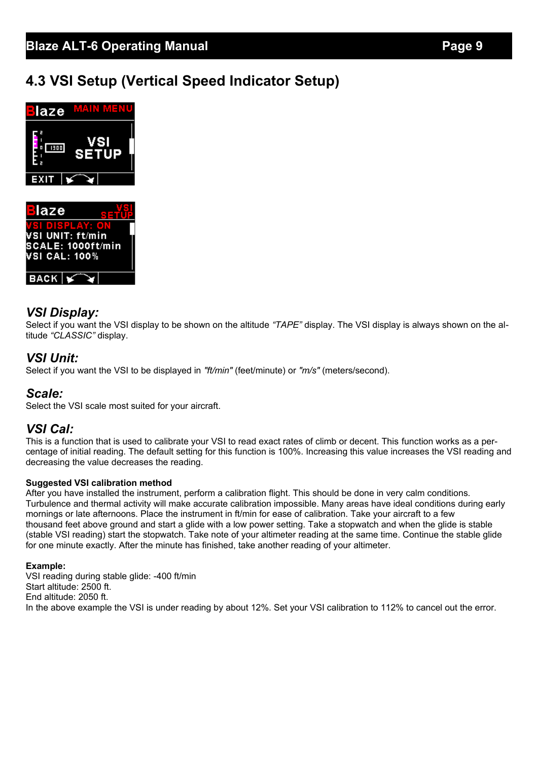### **4.3 VSI Setup (Vertical Speed Indicator Setup)**





### *VSI Display:*

Select if you want the VSI display to be shown on the altitude *"TAPE"* display. The VSI display is always shown on the altitude *"CLASSIC"* display.

#### *VSI Unit:*

Select if you want the VSI to be displayed in *"ft/min"* (feet/minute) or *"m/s"* (meters/second).

#### *Scale:*

Select the VSI scale most suited for your aircraft.

#### *VSI Cal:*

This is a function that is used to calibrate your VSI to read exact rates of climb or decent. This function works as a percentage of initial reading. The default setting for this function is 100%. Increasing this value increases the VSI reading and decreasing the value decreases the reading.

#### **Suggested VSI calibration method**

After you have installed the instrument, perform a calibration flight. This should be done in very calm conditions. Turbulence and thermal activity will make accurate calibration impossible. Many areas have ideal conditions during early mornings or late afternoons. Place the instrument in ft/min for ease of calibration. Take your aircraft to a few thousand feet above ground and start a glide with a low power setting. Take a stopwatch and when the glide is stable (stable VSI reading) start the stopwatch. Take note of your altimeter reading at the same time. Continue the stable glide for one minute exactly. After the minute has finished, take another reading of your altimeter.

#### **Example:**

VSI reading during stable glide: -400 ft/min Start altitude: 2500 ft. End altitude: 2050 ft. In the above example the VSI is under reading by about 12%. Set your VSI calibration to 112% to cancel out the error.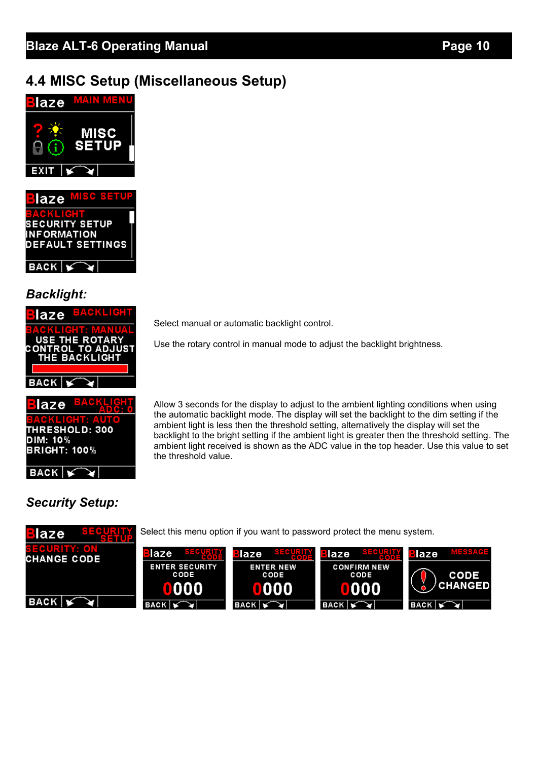### **4.4 MISC Setup (Miscellaneous Setup)**



**SECURITY SETUP INFORMATION DEFAULT SETTINGS**  $BACK \, | \leq$ 

*Backlight:*

| laze <sup>BACKLIC</sup>                          |
|--------------------------------------------------|
| <u>GKEICHE MA</u><br><b>USE THE ROTARY</b>       |
| <b>CONTROL TO ADJUST</b><br><b>THE BACKLIGHT</b> |
|                                                  |
| <b>BACK</b>                                      |
|                                                  |



 $BACK$ 

laze

Select manual or automatic backlight control.

Use the rotary control in manual mode to adjust the backlight brightness.

Allow 3 seconds for the display to adjust to the ambient lighting conditions when using the automatic backlight mode. The display will set the backlight to the dim setting if the ambient light is less then the threshold setting, alternatively the display will set the backlight to the bright setting if the ambient light is greater then the threshold setting. The ambient light received is shown as the ADC value in the top header. Use this value to set the threshold value.

### *Security Setup:*

Select this menu option if you want to password protect the menu system.

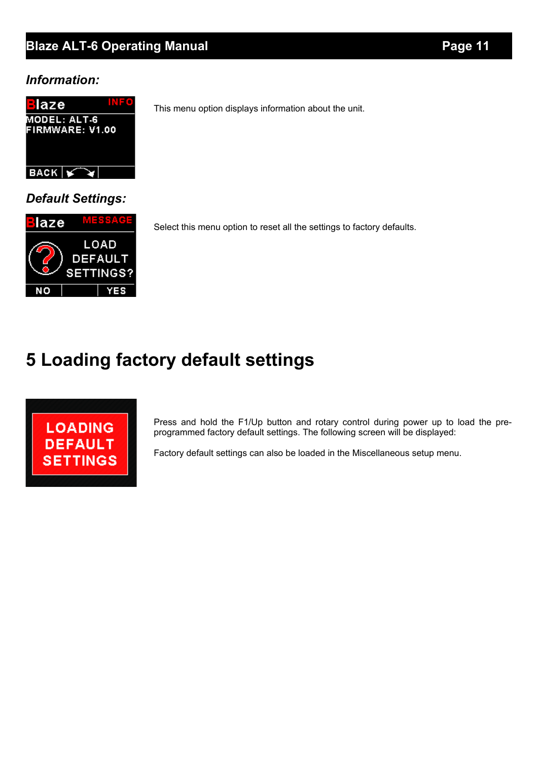#### *Information:*



*Default Settings:*



Select this menu option to reset all the settings to factory defaults.

This menu option displays information about the unit.

# **5 Loading factory default settings**



Press and hold the F1/Up button and rotary control during power up to load the preprogrammed factory default settings. The following screen will be displayed:

Factory default settings can also be loaded in the Miscellaneous setup menu.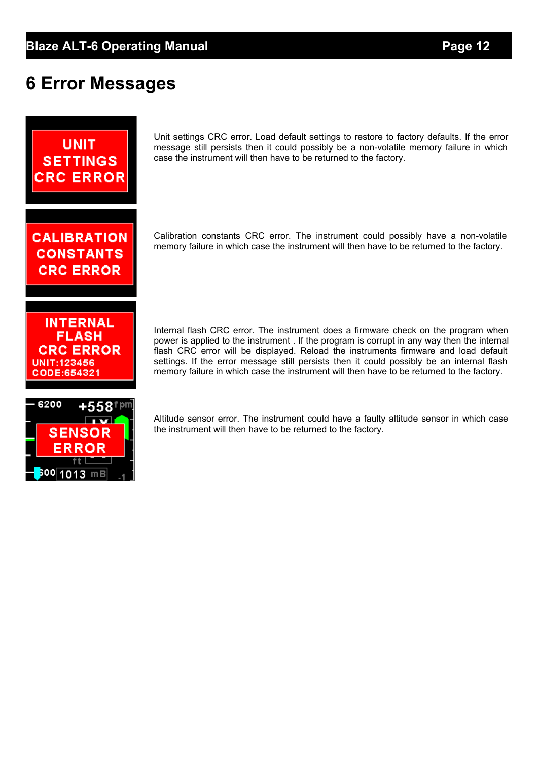# **6 Error Messages**



<sup>600∣</sup>1013 mB

Unit settings CRC error. Load default settings to restore to factory defaults. If the error message still persists then it could possibly be a non-volatile memory failure in which case the instrument will then have to be returned to the factory.

Calibration constants CRC error. The instrument could possibly have a non-volatile memory failure in which case the instrument will then have to be returned to the factory.

Internal flash CRC error. The instrument does a firmware check on the program when power is applied to the instrument . If the program is corrupt in any way then the internal flash CRC error will be displayed. Reload the instruments firmware and load default settings. If the error message still persists then it could possibly be an internal flash memory failure in which case the instrument will then have to be returned to the factory.

Altitude sensor error. The instrument could have a faulty altitude sensor in which case the instrument will then have to be returned to the factory.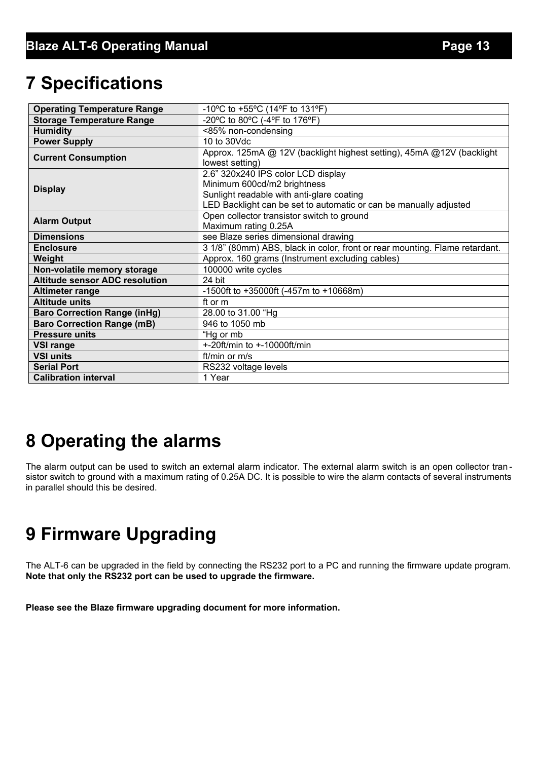# **7 Specifications**

| <b>Operating Temperature Range</b>    | -10°C to +55°C (14°F to 131°F)                                              |
|---------------------------------------|-----------------------------------------------------------------------------|
| <b>Storage Temperature Range</b>      | -20°C to 80°C (-4°F to 176°F)                                               |
| <b>Humidity</b>                       | <85% non-condensing                                                         |
| <b>Power Supply</b>                   | $10$ to $30$ Vdc                                                            |
| <b>Current Consumption</b>            | Approx. 125mA @ 12V (backlight highest setting), 45mA @12V (backlight       |
|                                       | lowest setting)                                                             |
|                                       | 2.6" 320x240 IPS color LCD display                                          |
| <b>Display</b>                        | Minimum 600cd/m2 brightness                                                 |
|                                       | Sunlight readable with anti-glare coating                                   |
|                                       | LED Backlight can be set to automatic or can be manually adjusted           |
| <b>Alarm Output</b>                   | Open collector transistor switch to ground                                  |
|                                       | Maximum rating 0.25A                                                        |
| <b>Dimensions</b>                     | see Blaze series dimensional drawing                                        |
| <b>Enclosure</b>                      | 3 1/8" (80mm) ABS, black in color, front or rear mounting. Flame retardant. |
| Weight                                | Approx. 160 grams (Instrument excluding cables)                             |
| Non-volatile memory storage           | 100000 write cycles                                                         |
| <b>Altitude sensor ADC resolution</b> | 24 bit                                                                      |
| <b>Altimeter range</b>                | -1500ft to +35000ft (-457m to +10668m)                                      |
| <b>Altitude units</b>                 | ft or m                                                                     |
| <b>Baro Correction Range (inHg)</b>   | 28.00 to 31.00 "Hg                                                          |
| <b>Baro Correction Range (mB)</b>     | 946 to 1050 mb                                                              |
| <b>Pressure units</b>                 | "Hg or mb                                                                   |
| <b>VSI range</b>                      | +-20ft/min to +-10000ft/min                                                 |
| <b>VSI units</b>                      | ft/min or m/s                                                               |
| <b>Serial Port</b>                    | RS232 voltage levels                                                        |
| <b>Calibration interval</b>           | 1 Year                                                                      |

# **8 Operating the alarms**

The alarm output can be used to switch an external alarm indicator. The external alarm switch is an open collector transistor switch to ground with a maximum rating of 0.25A DC. It is possible to wire the alarm contacts of several instruments in parallel should this be desired.

# **9 Firmware Upgrading**

The ALT-6 can be upgraded in the field by connecting the RS232 port to a PC and running the firmware update program. **Note that only the RS232 port can be used to upgrade the firmware.**

**Please see the Blaze firmware upgrading document for more information.**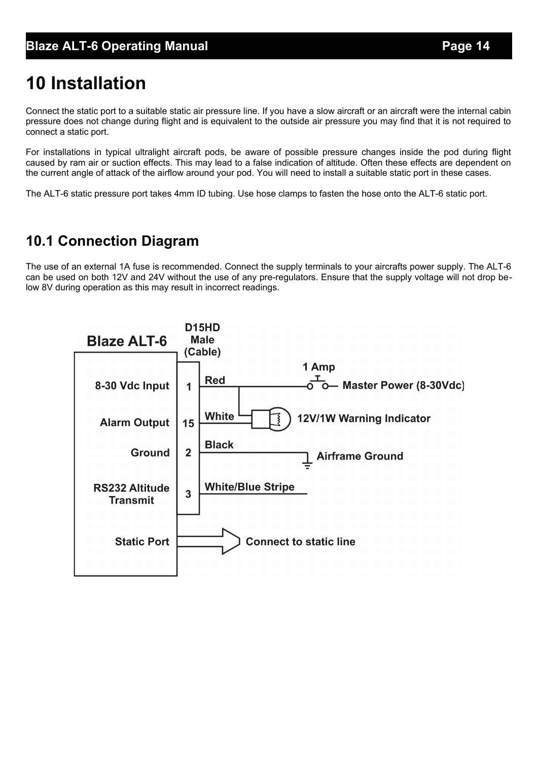# **10 Installation**

Connect the static port to a suitable static air pressure line. If you have a slow aircraft or an aircraft were the internal cabin pressure does not change during flight and is equivalent to the outside air pressure you may find that it is not required to connect a static port.

For installations in typical ultralight aircraft pods, be aware of possible pressure changes inside the pod during flight caused by ram air or suction effects. This may lead to a false indication of altitude. Often these effects are dependent on the current angle of attack of the airflow around your pod. You will need to install a suitable static port in these cases.

The ALT-6 static pressure port takes 4mm ID tubing. Use hose clamps to fasten the hose onto the ALT-6 static port.

### **10.1 Connection Diagram**

The use of an external 1A fuse is recommended. Connect the supply terminals to your aircrafts power supply. The ALT-6 can be used on both 12V and 24V without the use of any pre-regulators. Ensure that the supply voltage will not drop below 8V during operation as this may result in incorrect readings.

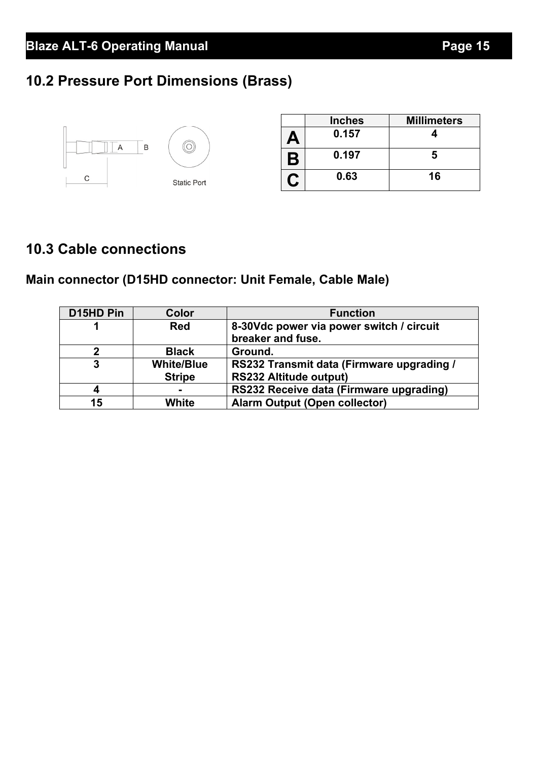## **10.2 Pressure Port Dimensions (Brass)**

|   |                    |                          | <b>Inches</b> | <b>Millimeters</b> |
|---|--------------------|--------------------------|---------------|--------------------|
|   | B<br>A             | $\overline{\phantom{a}}$ | 0.157         |                    |
|   |                    |                          | 0.197         | ю                  |
| С | <b>Static Port</b> |                          | 0.63          | 16                 |

## **10.3 Cable connections**

## **Main connector (D15HD connector: Unit Female, Cable Male)**

| D15HD Pin | Color             | <b>Function</b>                                               |
|-----------|-------------------|---------------------------------------------------------------|
|           | <b>Red</b>        | 8-30Vdc power via power switch / circuit<br>breaker and fuse. |
| 2         | <b>Black</b>      | Ground.                                                       |
| 3         | <b>White/Blue</b> | RS232 Transmit data (Firmware upgrading /                     |
|           | <b>Stripe</b>     | <b>RS232 Altitude output)</b>                                 |
| 4         |                   | RS232 Receive data (Firmware upgrading)                       |
| 15        | White             | <b>Alarm Output (Open collector)</b>                          |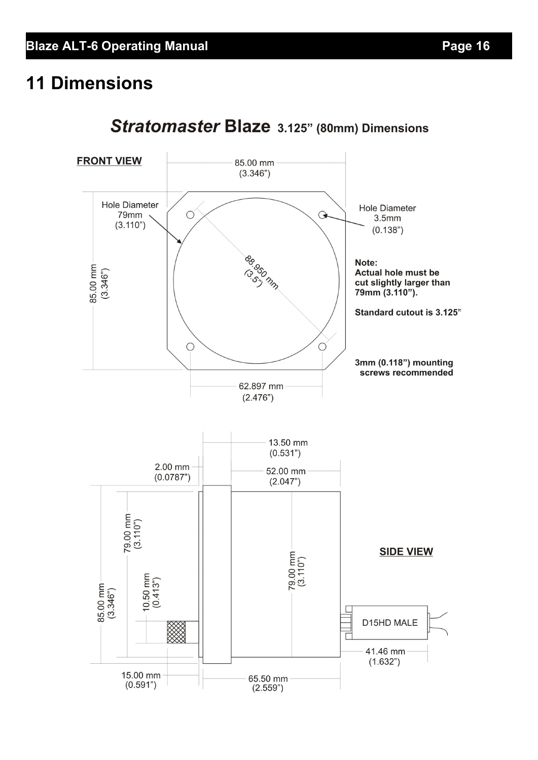# **11 Dimensions**



## Stratomaster Blaze 3.125" (80mm) Dimensions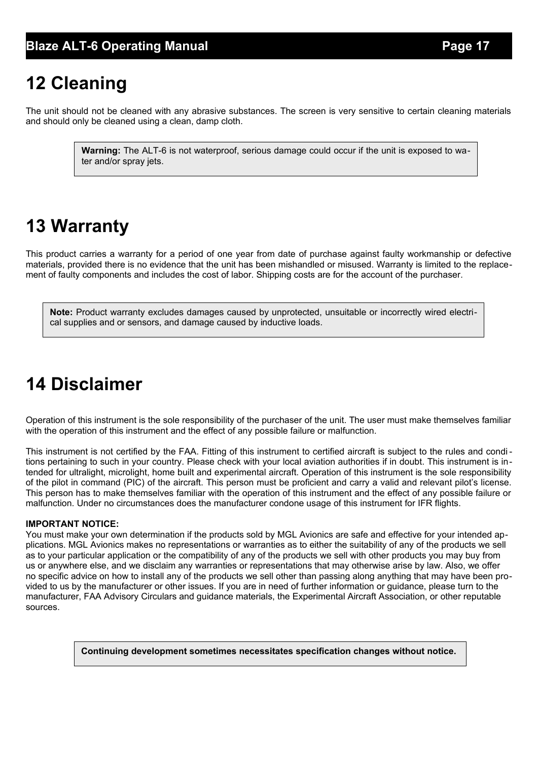# **12 Cleaning**

The unit should not be cleaned with any abrasive substances. The screen is very sensitive to certain cleaning materials and should only be cleaned using a clean, damp cloth.

> **Warning:** The ALT-6 is not waterproof, serious damage could occur if the unit is exposed to water and/or spray jets.

# **13 Warranty**

This product carries a warranty for a period of one year from date of purchase against faulty workmanship or defective materials, provided there is no evidence that the unit has been mishandled or misused. Warranty is limited to the replacement of faulty components and includes the cost of labor. Shipping costs are for the account of the purchaser.

**Note:** Product warranty excludes damages caused by unprotected, unsuitable or incorrectly wired electrical supplies and or sensors, and damage caused by inductive loads.

# **14 Disclaimer**

Operation of this instrument is the sole responsibility of the purchaser of the unit. The user must make themselves familiar with the operation of this instrument and the effect of any possible failure or malfunction.

This instrument is not certified by the FAA. Fitting of this instrument to certified aircraft is subject to the rules and condi tions pertaining to such in your country. Please check with your local aviation authorities if in doubt. This instrument is intended for ultralight, microlight, home built and experimental aircraft. Operation of this instrument is the sole responsibility of the pilot in command (PIC) of the aircraft. This person must be proficient and carry a valid and relevant pilot's license. This person has to make themselves familiar with the operation of this instrument and the effect of any possible failure or malfunction. Under no circumstances does the manufacturer condone usage of this instrument for IFR flights.

#### **IMPORTANT NOTICE:**

You must make your own determination if the products sold by MGL Avionics are safe and effective for your intended applications. MGL Avionics makes no representations or warranties as to either the suitability of any of the products we sell as to your particular application or the compatibility of any of the products we sell with other products you may buy from us or anywhere else, and we disclaim any warranties or representations that may otherwise arise by law. Also, we offer no specific advice on how to install any of the products we sell other than passing along anything that may have been provided to us by the manufacturer or other issues. If you are in need of further information or guidance, please turn to the manufacturer, FAA Advisory Circulars and guidance materials, the Experimental Aircraft Association, or other reputable sources.

**Continuing development sometimes necessitates specification changes without notice.**